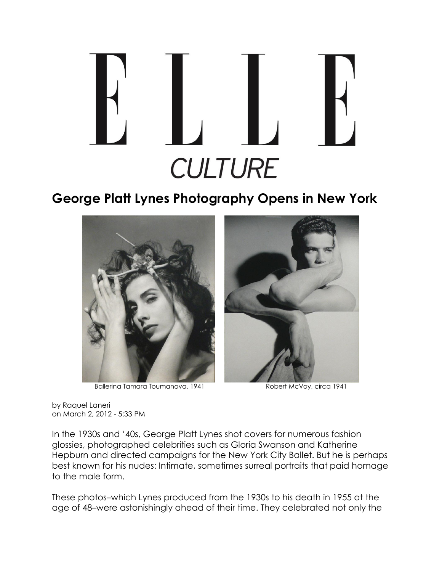

## **George Platt Lynes Photography Opens in New York**



Ballerina Tamara Toumanova, 1941 Robert McVoy, circa 1941

by Raquel Laneri on March 2, 2012 - 5:33 PM

In the 1930s and '40s, George Platt Lynes shot covers for numerous fashion glossies, photographed celebrities such as Gloria Swanson and Katherine Hepburn and directed campaigns for the New York City Ballet. But he is perhaps best known for his nudes: Intimate, sometimes surreal portraits that paid homage to the male form.

These photos–which Lynes produced from the 1930s to his death in 1955 at the age of 48–were astonishingly ahead of their time. They celebrated not only the